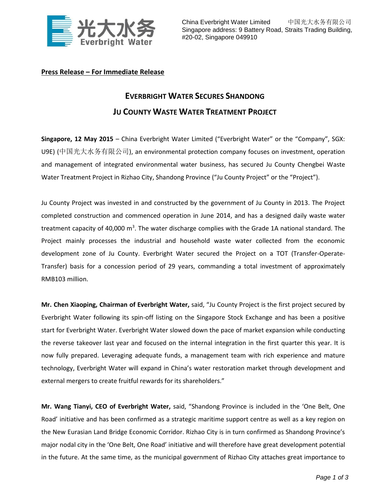

## **Press Release – For Immediate Release**

## **EVERBRIGHT WATER SECURES SHANDONG JU COUNTY WASTE WATER TREATMENT PROJECT**

**Singapore, 12 May 2015** – China Everbright Water Limited ("Everbright Water" or the "Company", SGX: U9E) (中国光大水务有限公司), an environmental protection company focuses on investment, operation and management of integrated environmental water business, has secured Ju County Chengbei Waste Water Treatment Project in Rizhao City, Shandong Province ("Ju County Project" or the "Project").

Ju County Project was invested in and constructed by the government of Ju County in 2013. The Project completed construction and commenced operation in June 2014, and has a designed daily waste water treatment capacity of 40,000 m<sup>3</sup>. The water discharge complies with the Grade 1A national standard. The Project mainly processes the industrial and household waste water collected from the economic development zone of Ju County. Everbright Water secured the Project on a TOT (Transfer-Operate-Transfer) basis for a concession period of 29 years, commanding a total investment of approximately RMB103 million.

**Mr. Chen Xiaoping, Chairman of Everbright Water,** said, "Ju County Project is the first project secured by Everbright Water following its spin-off listing on the Singapore Stock Exchange and has been a positive start for Everbright Water. Everbright Water slowed down the pace of market expansion while conducting the reverse takeover last year and focused on the internal integration in the first quarter this year. It is now fully prepared. Leveraging adequate funds, a management team with rich experience and mature technology, Everbright Water will expand in China's water restoration market through development and external mergers to create fruitful rewards for its shareholders."

**Mr. Wang Tianyi, CEO of Everbright Water,** said, "Shandong Province is included in the 'One Belt, One Road' initiative and has been confirmed as a strategic maritime support centre as well as a key region on the New Eurasian Land Bridge Economic Corridor. Rizhao City is in turn confirmed as Shandong Province's major nodal city in the 'One Belt, One Road' initiative and will therefore have great development potential in the future. At the same time, as the municipal government of Rizhao City attaches great importance to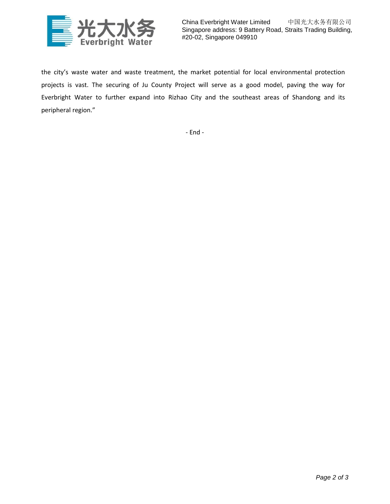

China Everbright Water Limited 中国光大水务有限公司 Singapore address: 9 Battery Road, Straits Trading Building, #20-02, Singapore 049910

the city's waste water and waste treatment, the market potential for local environmental protection projects is vast. The securing of Ju County Project will serve as a good model, paving the way for Everbright Water to further expand into Rizhao City and the southeast areas of Shandong and its peripheral region."

- End -